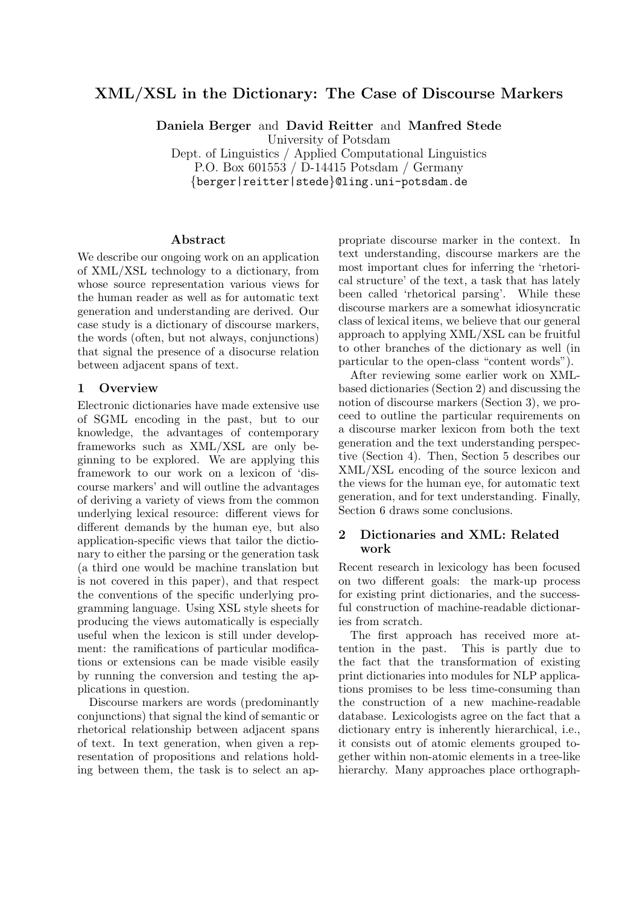# XML/XSL in the Dictionary: The Case of Discourse Markers

Daniela Berger and David Reitter and Manfred Stede

University of Potsdam

Dept. of Linguistics / Applied Computational Linguistics

P.O. Box 601553 / D-14415 Potsdam / Germany

{berger|reitter|stede}@ling.uni-potsdam.de

#### Abstract

We describe our ongoing work on an application of XML/XSL technology to a dictionary, from whose source representation various views for the human reader as well as for automatic text generation and understanding are derived. Our case study is a dictionary of discourse markers, the words (often, but not always, conjunctions) that signal the presence of a disocurse relation between adjacent spans of text.

### 1 Overview

Electronic dictionaries have made extensive use of SGML encoding in the past, but to our knowledge, the advantages of contemporary frameworks such as XML/XSL are only beginning to be explored. We are applying this framework to our work on a lexicon of 'discourse markers' and will outline the advantages of deriving a variety of views from the common underlying lexical resource: different views for different demands by the human eye, but also application-specific views that tailor the dictionary to either the parsing or the generation task (a third one would be machine translation but is not covered in this paper), and that respect the conventions of the specific underlying programming language. Using XSL style sheets for producing the views automatically is especially useful when the lexicon is still under development: the ramifications of particular modifications or extensions can be made visible easily by running the conversion and testing the applications in question.

Discourse markers are words (predominantly conjunctions) that signal the kind of semantic or rhetorical relationship between adjacent spans of text. In text generation, when given a representation of propositions and relations holding between them, the task is to select an ap-

propriate discourse marker in the context. In text understanding, discourse markers are the most important clues for inferring the 'rhetorical structure' of the text, a task that has lately been called 'rhetorical parsing'. While these discourse markers are a somewhat idiosyncratic class of lexical items, we believe that our general approach to applying XML/XSL can be fruitful to other branches of the dictionary as well (in particular to the open-class "content words").

After reviewing some earlier work on XMLbased dictionaries (Section 2) and discussing the notion of discourse markers (Section 3), we proceed to outline the particular requirements on a discourse marker lexicon from both the text generation and the text understanding perspective (Section 4). Then, Section 5 describes our XML/XSL encoding of the source lexicon and the views for the human eye, for automatic text generation, and for text understanding. Finally, Section 6 draws some conclusions.

## 2 Dictionaries and XML: Related work

Recent research in lexicology has been focused on two different goals: the mark-up process for existing print dictionaries, and the successful construction of machine-readable dictionaries from scratch.

The first approach has received more attention in the past. This is partly due to the fact that the transformation of existing print dictionaries into modules for NLP applications promises to be less time-consuming than the construction of a new machine-readable database. Lexicologists agree on the fact that a dictionary entry is inherently hierarchical, i.e., it consists out of atomic elements grouped together within non-atomic elements in a tree-like hierarchy. Many approaches place orthograph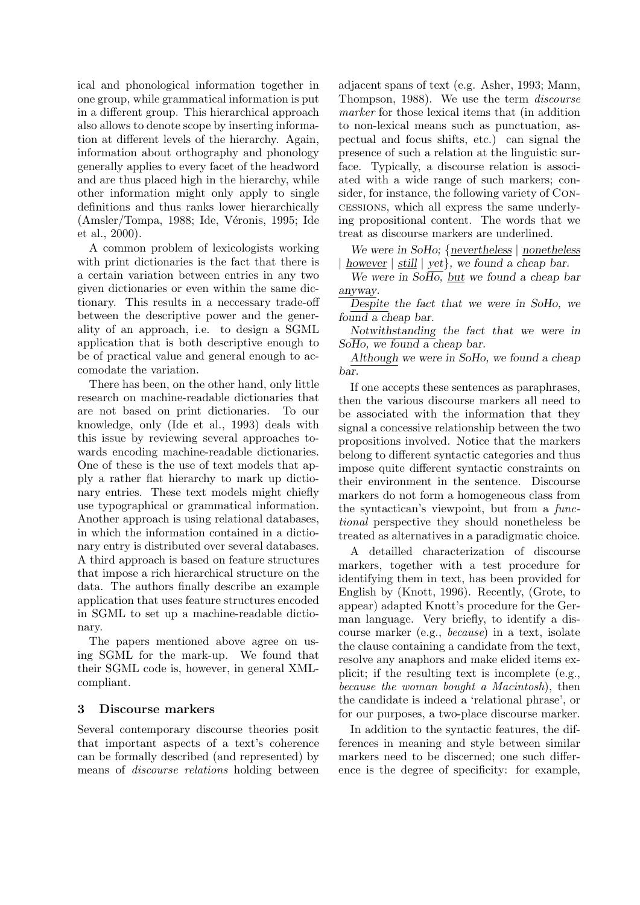ical and phonological information together in one group, while grammatical information is put in a different group. This hierarchical approach also allows to denote scope by inserting information at different levels of the hierarchy. Again, information about orthography and phonology generally applies to every facet of the headword and are thus placed high in the hierarchy, while other information might only apply to single definitions and thus ranks lower hierarchically (Amsler/Tompa, 1988; Ide, Véronis, 1995; Ide et al., 2000).

A common problem of lexicologists working with print dictionaries is the fact that there is a certain variation between entries in any two given dictionaries or even within the same dictionary. This results in a neccessary trade-off between the descriptive power and the generality of an approach, i.e. to design a SGML application that is both descriptive enough to be of practical value and general enough to accomodate the variation.

There has been, on the other hand, only little research on machine-readable dictionaries that are not based on print dictionaries. To our knowledge, only (Ide et al., 1993) deals with this issue by reviewing several approaches towards encoding machine-readable dictionaries. One of these is the use of text models that apply a rather flat hierarchy to mark up dictionary entries. These text models might chiefly use typographical or grammatical information. Another approach is using relational databases, in which the information contained in a dictionary entry is distributed over several databases. A third approach is based on feature structures that impose a rich hierarchical structure on the data. The authors finally describe an example application that uses feature structures encoded in SGML to set up a machine-readable dictionary.

The papers mentioned above agree on using SGML for the mark-up. We found that their SGML code is, however, in general XMLcompliant.

### 3 Discourse markers

Several contemporary discourse theories posit that important aspects of a text's coherence can be formally described (and represented) by means of discourse relations holding between

adjacent spans of text (e.g. Asher, 1993; Mann, Thompson, 1988). We use the term discourse marker for those lexical items that (in addition to non-lexical means such as punctuation, aspectual and focus shifts, etc.) can signal the presence of such a relation at the linguistic surface. Typically, a discourse relation is associated with a wide range of such markers; consider, for instance, the following variety of Concessions, which all express the same underlying propositional content. The words that we treat as discourse markers are underlined.

We were in SoHo; {nevertheless | nonetheless however  $|\tilde{still}|$  yet, we found a cheap bar.

We were in  $So\overline{Ho}$ , but we found a cheap bar anyway.

Despite the fact that we were in SoHo, we found a cheap bar.

Notwithstanding the fact that we were in SoHo, we found a cheap bar.

Although we were in SoHo, we found a cheap bar.

If one accepts these sentences as paraphrases, then the various discourse markers all need to be associated with the information that they signal a concessive relationship between the two propositions involved. Notice that the markers belong to different syntactic categories and thus impose quite different syntactic constraints on their environment in the sentence. Discourse markers do not form a homogeneous class from the syntactican's viewpoint, but from a functional perspective they should nonetheless be treated as alternatives in a paradigmatic choice.

A detailled characterization of discourse markers, together with a test procedure for identifying them in text, has been provided for English by (Knott, 1996). Recently, (Grote, to appear) adapted Knott's procedure for the German language. Very briefly, to identify a discourse marker (e.g., because) in a text, isolate the clause containing a candidate from the text, resolve any anaphors and make elided items explicit; if the resulting text is incomplete (e.g., because the woman bought a Macintosh), then the candidate is indeed a 'relational phrase', or for our purposes, a two-place discourse marker.

In addition to the syntactic features, the differences in meaning and style between similar markers need to be discerned; one such difference is the degree of specificity: for example,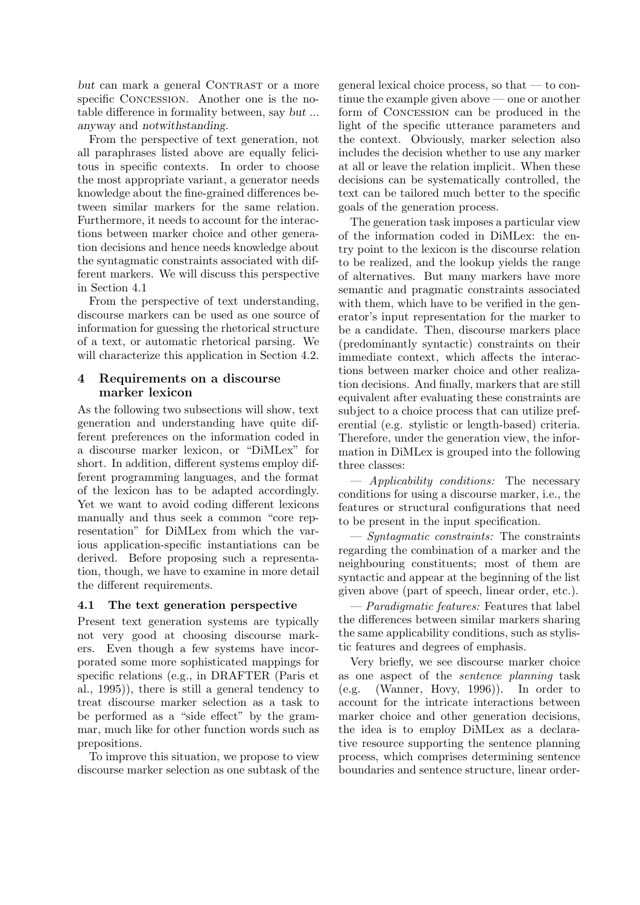but can mark a general CONTRAST or a more specific CONCESSION. Another one is the notable difference in formality between, say but ... anyway and notwithstanding.

From the perspective of text generation, not all paraphrases listed above are equally felicitous in specific contexts. In order to choose the most appropriate variant, a generator needs knowledge about the fine-grained differences between similar markers for the same relation. Furthermore, it needs to account for the interactions between marker choice and other generation decisions and hence needs knowledge about the syntagmatic constraints associated with different markers. We will discuss this perspective in Section 4.1

From the perspective of text understanding, discourse markers can be used as one source of information for guessing the rhetorical structure of a text, or automatic rhetorical parsing. We will characterize this application in Section 4.2.

## 4 Requirements on a discourse marker lexicon

As the following two subsections will show, text generation and understanding have quite different preferences on the information coded in a discourse marker lexicon, or "DiMLex" for short. In addition, different systems employ different programming languages, and the format of the lexicon has to be adapted accordingly. Yet we want to avoid coding different lexicons manually and thus seek a common "core representation" for DiMLex from which the various application-specific instantiations can be derived. Before proposing such a representation, though, we have to examine in more detail the different requirements.

### 4.1 The text generation perspective

Present text generation systems are typically not very good at choosing discourse markers. Even though a few systems have incorporated some more sophisticated mappings for specific relations (e.g., in DRAFTER (Paris et al., 1995)), there is still a general tendency to treat discourse marker selection as a task to be performed as a "side effect" by the grammar, much like for other function words such as prepositions.

To improve this situation, we propose to view discourse marker selection as one subtask of the

general lexical choice process, so that — to continue the example given above — one or another form of Concession can be produced in the light of the specific utterance parameters and the context. Obviously, marker selection also includes the decision whether to use any marker at all or leave the relation implicit. When these decisions can be systematically controlled, the text can be tailored much better to the specific goals of the generation process.

The generation task imposes a particular view of the information coded in DiMLex: the entry point to the lexicon is the discourse relation to be realized, and the lookup yields the range of alternatives. But many markers have more semantic and pragmatic constraints associated with them, which have to be verified in the generator's input representation for the marker to be a candidate. Then, discourse markers place (predominantly syntactic) constraints on their immediate context, which affects the interactions between marker choice and other realization decisions. And finally, markers that are still equivalent after evaluating these constraints are subject to a choice process that can utilize preferential (e.g. stylistic or length-based) criteria. Therefore, under the generation view, the information in DiMLex is grouped into the following three classes:

- *Applicability conditions:* The necessary conditions for using a discourse marker, i.e., the features or structural configurations that need to be present in the input specification.

 $-$  *Syntagmatic constraints:* The constraints regarding the combination of a marker and the neighbouring constituents; most of them are syntactic and appear at the beginning of the list given above (part of speech, linear order, etc.).

— Paradigmatic features: Features that label the differences between similar markers sharing the same applicability conditions, such as stylistic features and degrees of emphasis.

Very briefly, we see discourse marker choice as one aspect of the sentence planning task (e.g. (Wanner, Hovy, 1996)). In order to account for the intricate interactions between marker choice and other generation decisions, the idea is to employ DiMLex as a declarative resource supporting the sentence planning process, which comprises determining sentence boundaries and sentence structure, linear order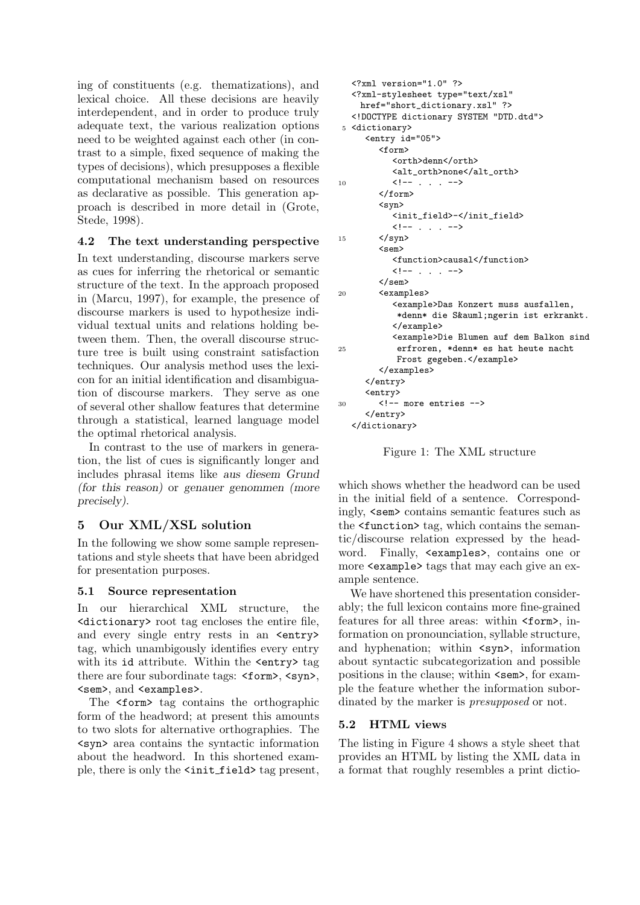ing of constituents (e.g. thematizations), and lexical choice. All these decisions are heavily interdependent, and in order to produce truly adequate text, the various realization options need to be weighted against each other (in contrast to a simple, fixed sequence of making the types of decisions), which presupposes a flexible computational mechanism based on resources as declarative as possible. This generation approach is described in more detail in (Grote, Stede, 1998).

## 4.2 The text understanding perspective

In text understanding, discourse markers serve as cues for inferring the rhetorical or semantic structure of the text. In the approach proposed in (Marcu, 1997), for example, the presence of discourse markers is used to hypothesize individual textual units and relations holding between them. Then, the overall discourse structure tree is built using constraint satisfaction techniques. Our analysis method uses the lexicon for an initial identification and disambiguation of discourse markers. They serve as one of several other shallow features that determine through a statistical, learned language model the optimal rhetorical analysis.

In contrast to the use of markers in generation, the list of cues is significantly longer and includes phrasal items like aus diesem Grund (for this reason) or genauer genommen (more precisely).

## 5 Our XML/XSL solution

In the following we show some sample representations and style sheets that have been abridged for presentation purposes.

## 5.1 Source representation

In our hierarchical XML structure, the <dictionary> root tag encloses the entire file, and every single entry rests in an  $\leq$ ntry> tag, which unambigously identifies every entry with its id attribute. Within the  $\text{~centry\&~tag}$ there are four subordinate tags: <form>, <syn>, <sem>, and <examples>.

The <form> tag contains the orthographic form of the headword; at present this amounts to two slots for alternative orthographies. The <syn> area contains the syntactic information about the headword. In this shortened example, there is only the  $\text{Sinit}\$ ield  $\text{tag present}$ ,

```
<?xml version="1.0" ?>
   <?xml-stylesheet type="text/xsl"
     href="short_dictionary.xsl" ?>
   <!DOCTYPE dictionary SYSTEM "DTD.dtd">
5 <dictionary>
      <entry id="05">
         <form>
            <orth>denn</orth>
            <alt_orth>none</alt_orth>
10 \langle | - | - | - | - | - |</form>
         <syn>
            <init_field>-</init_field>
            \langle!-- . . . -->
15 \frac{\langle \text{syn}\rangle}{\langle \text{syn}\rangle}<sem>
            <function>causal</function>
            \langle 1 - 1, 1, 1 - 2 \rangle\langle/sem\rangle20 <examples>
            <example>Das Konzert muss ausfallen,
             *denn* die Sängerin ist erkrankt.
            </example>
            <example>Die Blumen auf dem Balkon sind
25 erfroren, *denn* es hat heute nacht
             Frost gegeben.</example>
         </examples>
      </entry>
      <entry>
30 <!-- more entries -->
      </entry>
   </dictionary>
```
Figure 1: The XML structure

which shows whether the headword can be used in the initial field of a sentence. Correspondingly, <sem> contains semantic features such as the <function> tag, which contains the semantic/discourse relation expressed by the headword. Finally, <examples>, contains one or more <example> tags that may each give an example sentence.

We have shortened this presentation considerably; the full lexicon contains more fine-grained features for all three areas: within <form>, information on pronounciation, syllable structure, and hyphenation; within <syn>, information about syntactic subcategorization and possible positions in the clause; within <sem>, for example the feature whether the information subordinated by the marker is *presupposed* or not.

## 5.2 HTML views

The listing in Figure 4 shows a style sheet that provides an HTML by listing the XML data in a format that roughly resembles a print dictio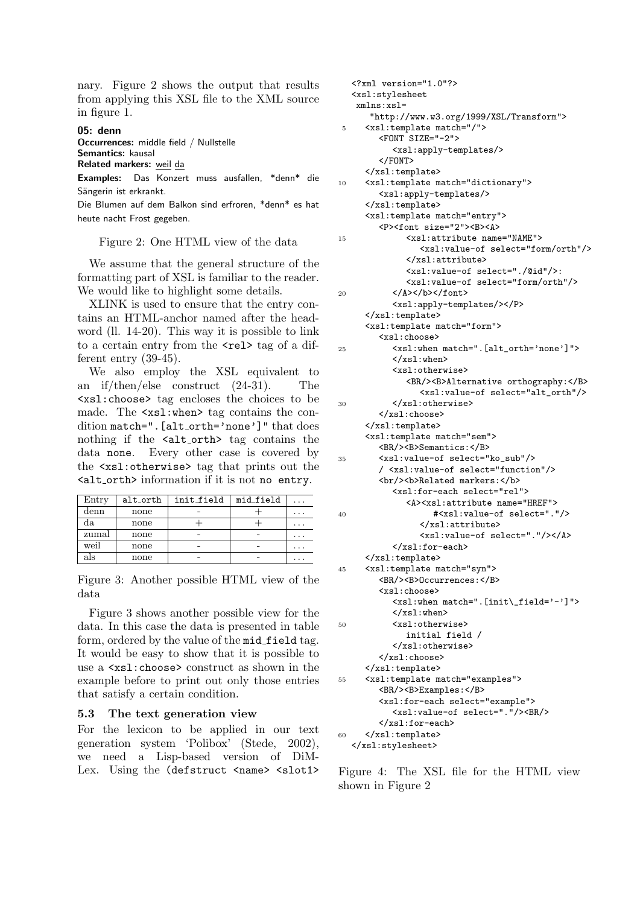nary. Figure 2 shows the output that results from applying this XSL file to the XML source in figure 1.

05: denn

Occurrences: middle field / Nullstelle Semantics: kausal

Related markers: weil da

Examples: Das Konzert muss ausfallen, \*denn\* die Sängerin ist erkrankt.

Die Blumen auf dem Balkon sind erfroren, \*denn\* es hat heute nacht Frost gegeben.

Figure 2: One HTML view of the data

We assume that the general structure of the formatting part of XSL is familiar to the reader. We would like to highlight some details.

XLINK is used to ensure that the entry contains an HTML-anchor named after the headword (ll. 14-20). This way it is possible to link to a certain entry from the <rel> tag of a different entry (39-45).

We also employ the XSL equivalent to an if/then/else construct (24-31). The <xsl:choose> tag encloses the choices to be made. The  $\langle xsl:when\rangle$  tag contains the condition match=". [alt\_orth='none']" that does nothing if the <alt orth> tag contains the data none. Every other case is covered by the <xsl:otherwise> tag that prints out the <alt orth> information if it is not no entry.

| $_{\rm Entry}$ | alt_orth | init_field | mid_field | . |
|----------------|----------|------------|-----------|---|
| $_{\rm{denn}}$ | none     |            |           | . |
| ıа             | none     |            |           | . |
| zumal          | none     |            |           | . |
| weil           | none     |            |           | . |
| 2 S            | none     |            |           |   |

Figure 3: Another possible HTML view of the data

Figure 3 shows another possible view for the data. In this case the data is presented in table form, ordered by the value of the mid field tag. It would be easy to show that it is possible to use a <xsl:choose> construct as shown in the example before to print out only those entries that satisfy a certain condition.

### 5.3 The text generation view

For the lexicon to be applied in our text generation system 'Polibox' (Stede, 2002), we need a Lisp-based version of DiM-Lex. Using the (defstruct <name> <slot1>

<?xml version="1.0"?> <xsl:stylesheet xmlns:xsl= "http://www.w3.org/1999/XSL/Transform"> <sup>5</sup> <xsl:template match="/"> <FONT SIZE="-2"> <xsl:apply-templates/> </FONT> </xsl:template> <sup>10</sup> <xsl:template match="dictionary"> <xsl:apply-templates/> </xsl:template> <xsl:template match="entry"> <P><font size="2"><B><A> <sup>15</sup> <xsl:attribute name="NAME"> <xsl:value-of select="form/orth"/> </xsl:attribute> <xsl:value-of select="./@id"/>: <xsl:value-of select="form/orth"/> 20 </A></b></font> <xsl:apply-templates/></P> </xsl:template> <xsl:template match="form"> <xsl:choose> <sup>25</sup> <xsl:when match=".[alt\_orth='none']"> </xsl:when> <xsl:otherwise> <BR/><B>Alternative orthography:</B> <xsl:value-of select="alt\_orth"/> <sup>30</sup> </xsl:otherwise> </xsl:choose> </xsl:template> <xsl:template match="sem"> <BR/><B>Semantics:</B> <sup>35</sup> <xsl:value-of select="ko\_sub"/> / <xsl:value-of select="function"/> <br/><b>Related markers:</b> <xsl:for-each select="rel"> <A><xsl:attribute name="HREF"> <sup>40</sup> #<xsl:value-of select="."/> </xsl:attribute> <xsl:value-of select="."/></A> </xsl:for-each> </xsl:template> <sup>45</sup> <xsl:template match="syn"> <BR/><B>Occurrences:</B> <xsl:choose> <xsl:when match=".[init\\_field='-']"> </xsl:when> <sup>50</sup> <xsl:otherwise> initial field / </xsl:otherwise> </xsl:choose> </xsl:template> <sup>55</sup> <xsl:template match="examples"> <BR/><B>Examples:</B> <xsl:for-each select="example"> <xsl:value-of select="."/><BR/> </xsl:for-each> <sup>60</sup> </xsl:template> </xsl:stylesheet>

Figure 4: The XSL file for the HTML view shown in Figure 2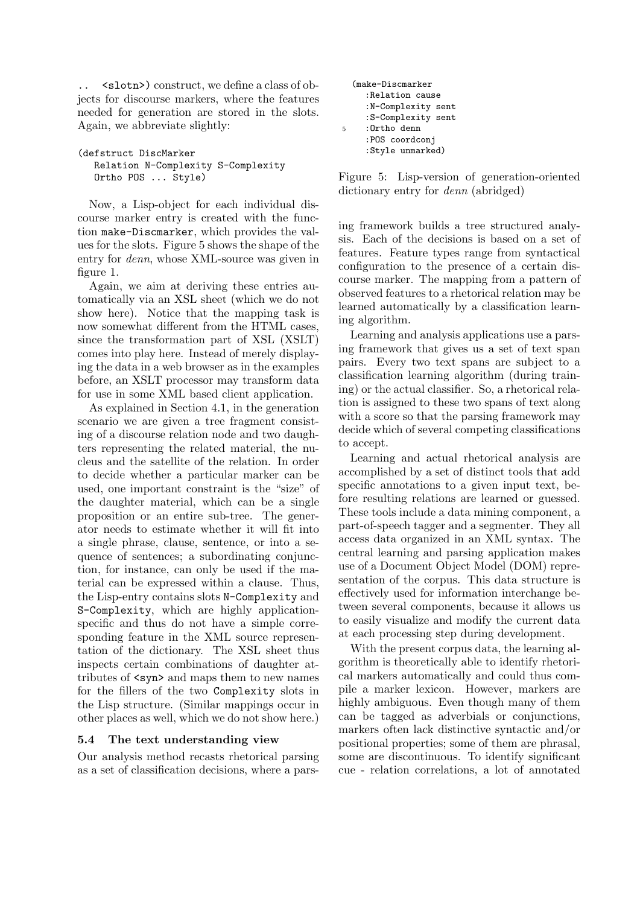.. <slotn>) construct, we define a class of objects for discourse markers, where the features needed for generation are stored in the slots. Again, we abbreviate slightly:

```
(defstruct DiscMarker
  Relation N-Complexity S-Complexity
  Ortho POS ... Style)
```
Now, a Lisp-object for each individual discourse marker entry is created with the function make-Discmarker, which provides the values for the slots. Figure 5 shows the shape of the entry for denn, whose XML-source was given in figure 1.

Again, we aim at deriving these entries automatically via an XSL sheet (which we do not show here). Notice that the mapping task is now somewhat different from the HTML cases, since the transformation part of XSL (XSLT) comes into play here. Instead of merely displaying the data in a web browser as in the examples before, an XSLT processor may transform data for use in some XML based client application.

As explained in Section 4.1, in the generation scenario we are given a tree fragment consisting of a discourse relation node and two daughters representing the related material, the nucleus and the satellite of the relation. In order to decide whether a particular marker can be used, one important constraint is the "size" of the daughter material, which can be a single proposition or an entire sub-tree. The generator needs to estimate whether it will fit into a single phrase, clause, sentence, or into a sequence of sentences; a subordinating conjunction, for instance, can only be used if the material can be expressed within a clause. Thus, the Lisp-entry contains slots N-Complexity and S-Complexity, which are highly applicationspecific and thus do not have a simple corresponding feature in the XML source representation of the dictionary. The XSL sheet thus inspects certain combinations of daughter attributes of <syn> and maps them to new names for the fillers of the two Complexity slots in the Lisp structure. (Similar mappings occur in other places as well, which we do not show here.)

## 5.4 The text understanding view

Our analysis method recasts rhetorical parsing as a set of classification decisions, where a pars-

|   | (make-Discmarker   |
|---|--------------------|
|   | :Relation cause    |
|   | :N-Complexity sent |
|   | :S-Complexity sent |
| 5 | :Ortho denn        |
|   | :POS coordconj     |
|   | :Style unmarked)   |

Figure 5: Lisp-version of generation-oriented dictionary entry for *denn* (abridged)

ing framework builds a tree structured analysis. Each of the decisions is based on a set of features. Feature types range from syntactical configuration to the presence of a certain discourse marker. The mapping from a pattern of observed features to a rhetorical relation may be learned automatically by a classification learning algorithm.

Learning and analysis applications use a parsing framework that gives us a set of text span pairs. Every two text spans are subject to a classification learning algorithm (during training) or the actual classifier. So, a rhetorical relation is assigned to these two spans of text along with a score so that the parsing framework may decide which of several competing classifications to accept.

Learning and actual rhetorical analysis are accomplished by a set of distinct tools that add specific annotations to a given input text, before resulting relations are learned or guessed. These tools include a data mining component, a part-of-speech tagger and a segmenter. They all access data organized in an XML syntax. The central learning and parsing application makes use of a Document Object Model (DOM) representation of the corpus. This data structure is effectively used for information interchange between several components, because it allows us to easily visualize and modify the current data at each processing step during development.

With the present corpus data, the learning algorithm is theoretically able to identify rhetorical markers automatically and could thus compile a marker lexicon. However, markers are highly ambiguous. Even though many of them can be tagged as adverbials or conjunctions, markers often lack distinctive syntactic and/or positional properties; some of them are phrasal, some are discontinuous. To identify significant cue - relation correlations, a lot of annotated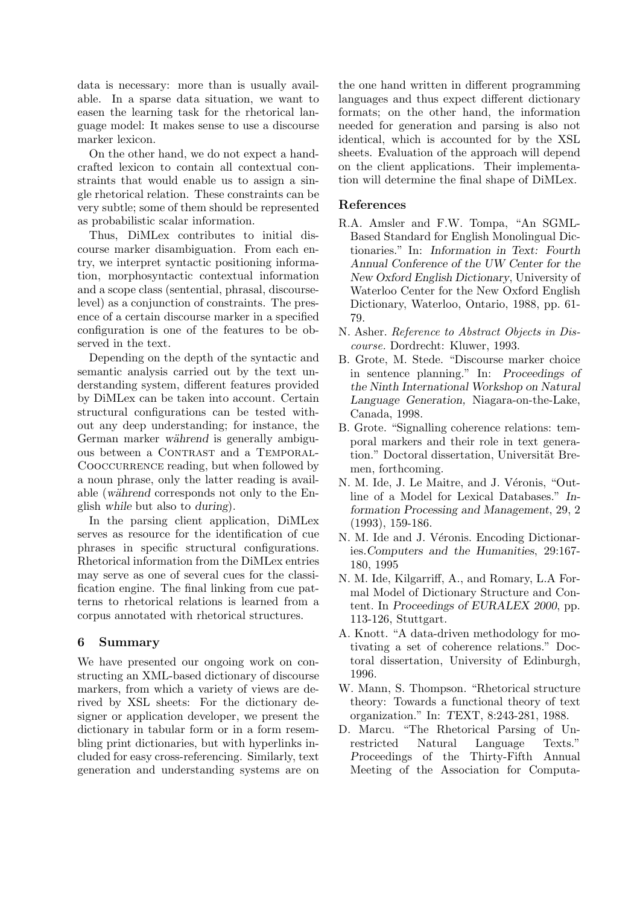data is necessary: more than is usually available. In a sparse data situation, we want to easen the learning task for the rhetorical language model: It makes sense to use a discourse marker lexicon.

On the other hand, we do not expect a handcrafted lexicon to contain all contextual constraints that would enable us to assign a single rhetorical relation. These constraints can be very subtle; some of them should be represented as probabilistic scalar information.

Thus, DiMLex contributes to initial discourse marker disambiguation. From each entry, we interpret syntactic positioning information, morphosyntactic contextual information and a scope class (sentential, phrasal, discourselevel) as a conjunction of constraints. The presence of a certain discourse marker in a specified configuration is one of the features to be observed in the text.

Depending on the depth of the syntactic and semantic analysis carried out by the text understanding system, different features provided by DiMLex can be taken into account. Certain structural configurations can be tested without any deep understanding; for instance, the German marker während is generally ambiguous between a CONTRAST and a TEMPORAL-COOCCURRENCE reading, but when followed by a noun phrase, only the latter reading is available (während corresponds not only to the English while but also to during).

In the parsing client application, DiMLex serves as resource for the identification of cue phrases in specific structural configurations. Rhetorical information from the DiMLex entries may serve as one of several cues for the classification engine. The final linking from cue patterns to rhetorical relations is learned from a corpus annotated with rhetorical structures.

## 6 Summary

We have presented our ongoing work on constructing an XML-based dictionary of discourse markers, from which a variety of views are derived by XSL sheets: For the dictionary designer or application developer, we present the dictionary in tabular form or in a form resembling print dictionaries, but with hyperlinks included for easy cross-referencing. Similarly, text generation and understanding systems are on

the one hand written in different programming languages and thus expect different dictionary formats; on the other hand, the information needed for generation and parsing is also not identical, which is accounted for by the XSL sheets. Evaluation of the approach will depend on the client applications. Their implementation will determine the final shape of DiMLex.

### References

- R.A. Amsler and F.W. Tompa, "An SGML-Based Standard for English Monolingual Dictionaries." In: Information in Text: Fourth Annual Conference of the UW Center for the New Oxford English Dictionary, University of Waterloo Center for the New Oxford English Dictionary, Waterloo, Ontario, 1988, pp. 61- 79.
- N. Asher. Reference to Abstract Objects in Discourse. Dordrecht: Kluwer, 1993.
- B. Grote, M. Stede. "Discourse marker choice in sentence planning." In: Proceedings of the Ninth International Workshop on Natural Language Generation, Niagara-on-the-Lake, Canada, 1998.
- B. Grote. "Signalling coherence relations: temporal markers and their role in text generation." Doctoral dissertation, Universität Bremen, forthcoming.
- N. M. Ide, J. Le Maitre, and J. Véronis, "Outline of a Model for Lexical Databases." Information Processing and Management, 29, 2 (1993), 159-186.
- N. M. Ide and J. Véronis. Encoding Dictionaries.Computers and the Humanities, 29:167- 180, 1995
- N. M. Ide, Kilgarriff, A., and Romary, L.A Formal Model of Dictionary Structure and Content. In Proceedings of EURALEX 2000, pp. 113-126, Stuttgart.
- A. Knott. "A data-driven methodology for motivating a set of coherence relations." Doctoral dissertation, University of Edinburgh, 1996.
- W. Mann, S. Thompson. "Rhetorical structure theory: Towards a functional theory of text organization." In: TEXT, 8:243-281, 1988.
- D. Marcu. "The Rhetorical Parsing of Unrestricted Natural Language Texts." Proceedings of the Thirty-Fifth Annual Meeting of the Association for Computa-